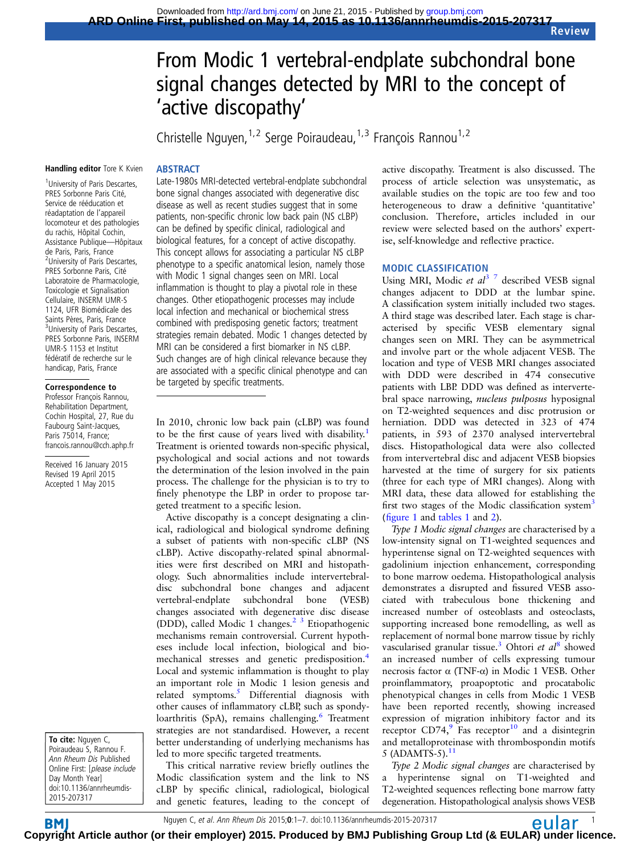# From Modic 1 vertebral-endplate subchondral bone signal changes detected by MRI to the concept of 'active discopathy'

Christelle Nguyen,<sup>1,2</sup> Serge Poiraudeau,<sup>1,3</sup> François Rannou<sup>1,2</sup>

#### Handling editor Tore K Kvien

# **ABSTRACT**

<sup>1</sup> University of Paris Descartes, PRES Sorbonne Paris Cité, Service de rééducation et réadaptation de l'appareil locomoteur et des pathologies du rachis, Hôpital Cochin, Assistance Publique—Hôpitaux de Paris, Paris, France <sup>2</sup>University of Paris Descartes, PRES Sorbonne Paris, Cité Laboratoire de Pharmacologie, Toxicologie et Signalisation Cellulaire, INSERM UMR-S 1124, UFR Biomédicale des Saints Pères, Paris, France <sup>3</sup>University of Paris Descartes, PRES Sorbonne Paris, INSERM UMR-S 1153 et Institut fédératif de recherche sur le handicap, Paris, France

#### Correspondence to

Professor François Rannou, Rehabilitation Department, Cochin Hospital, 27, Rue du Faubourg Saint-Jacques, Paris 75014, France; francois.rannou@cch.aphp.fr

Received 16 January 2015 Revised 19 April 2015 Accepted 1 May 2015

To cite: Nguyen C, Poiraudeau S, Rannou F. Ann Rheum Dis Published Online First: [please include Day Month Year] doi:10.1136/annrheumdis-2015-207317

**BM** 

Late-1980s MRI-detected vertebral-endplate subchondral bone signal changes associated with degenerative disc disease as well as recent studies suggest that in some patients, non-specific chronic low back pain (NS cLBP) can be defined by specific clinical, radiological and biological features, for a concept of active discopathy. This concept allows for associating a particular NS cLBP phenotype to a specific anatomical lesion, namely those with Modic 1 signal changes seen on MRI. Local inflammation is thought to play a pivotal role in these changes. Other etiopathogenic processes may include local infection and mechanical or biochemical stress combined with predisposing genetic factors; treatment strategies remain debated. Modic 1 changes detected by MRI can be considered a first biomarker in NS cLBP. Such changes are of high clinical relevance because they are associated with a specific clinical phenotype and can be targeted by specific treatments.

In 2010, chronic low back pain (cLBP) was found to be the first cause of years lived with disability.<sup>[1](#page-5-0)</sup> Treatment is oriented towards non-specific physical, psychological and social actions and not towards the determination of the lesion involved in the pain process. The challenge for the physician is to try to finely phenotype the LBP in order to propose targeted treatment to a specific lesion.

Active discopathy is a concept designating a clinical, radiological and biological syndrome defining a subset of patients with non-specific cLBP (NS cLBP). Active discopathy-related spinal abnormalities were first described on MRI and histopathology. Such abnormalities include intervertebraldisc subchondral bone changes and adjacent vertebral-endplate subchondral bone (VESB) changes associated with degenerative disc disease (DDD), called Modic 1 changes. $2<sup>3</sup>$  Etiopathogenic mechanisms remain controversial. Current hypotheses include local infection, biological and bio-mechanical stresses and genetic predisposition.<sup>[4](#page-5-0)</sup> Local and systemic inflammation is thought to play an important role in Modic 1 lesion genesis and related symptoms.<sup>[5](#page-5-0)</sup> Differential diagnosis with other causes of inflammatory cLBP, such as spondy-loarthritis (SpA), remains challenging.<sup>[6](#page-5-0)</sup> Treatment strategies are not standardised. However, a recent better understanding of underlying mechanisms has led to more specific targeted treatments.

This critical narrative review briefly outlines the Modic classification system and the link to NS cLBP by specific clinical, radiological, biological and genetic features, leading to the concept of active discopathy. Treatment is also discussed. The process of article selection was unsystematic, as available studies on the topic are too few and too heterogeneous to draw a definitive 'quantitative' conclusion. Therefore, articles included in our review were selected based on the authors' expertise, self-knowledge and reflective practice.

## MODIC CLASSIFICATION

Using MRI, Modic et  $al^3$ <sup>7</sup> described VESB signal changes adjacent to DDD at the lumbar spine. A classification system initially included two stages. A third stage was described later. Each stage is characterised by specific VESB elementary signal changes seen on MRI. They can be asymmetrical and involve part or the whole adjacent VESB. The location and type of VESB MRI changes associated with DDD were described in 474 consecutive patients with LBP. DDD was defined as intervertebral space narrowing, nucleus pulposus hyposignal on T2-weighted sequences and disc protrusion or herniation. DDD was detected in 323 of 474 patients, in 593 of 2370 analysed intervertebral discs. Histopathological data were also collected from intervertebral disc and adjacent VESB biopsies harvested at the time of surgery for six patients (three for each type of MRI changes). Along with MRI data, these data allowed for establishing the first two stages of the Modic classification system<sup>[3](#page-5-0)</sup> (fi[gure 1](#page-1-0) and [tables 1](#page-1-0) and [2](#page-2-0)).

Type 1 Modic signal changes are characterised by a low-intensity signal on T1-weighted sequences and hyperintense signal on T2-weighted sequences with gadolinium injection enhancement, corresponding to bone marrow oedema. Histopathological analysis demonstrates a disrupted and fissured VESB associated with trabeculous bone thickening and increased number of osteoblasts and osteoclasts, supporting increased bone remodelling, as well as replacement of normal bone marrow tissue by richly vascularised granular tissue.<sup>[3](#page-5-0)</sup> Ohtori et  $al^8$  $al^8$  showed an increased number of cells expressing tumour necrosis factor α (TNF-α) in Modic 1 VESB. Other proinflammatory, proapoptotic and procatabolic phenotypical changes in cells from Modic 1 VESB have been reported recently, showing increased expression of migration inhibitory factor and its receptor  $CD74$ , Fas receptor<sup>[10](#page-5-0)</sup> and a disintegrin and metalloproteinase with thrombospondin motifs 5 (ADAMTS-5). $^{11}$  $^{11}$  $^{11}$ 

Type 2 Modic signal changes are characterised by a hyperintense signal on T1-weighted and T2-weighted sequences reflecting bone marrow fatty degeneration. Histopathological analysis shows VESB

Nguyen C, et al. Ann Rheum Dis 2015;0:1–7. doi:10.1136/annrheumdis-2015-207317 1999 1999 1999 1999 1999 1999 1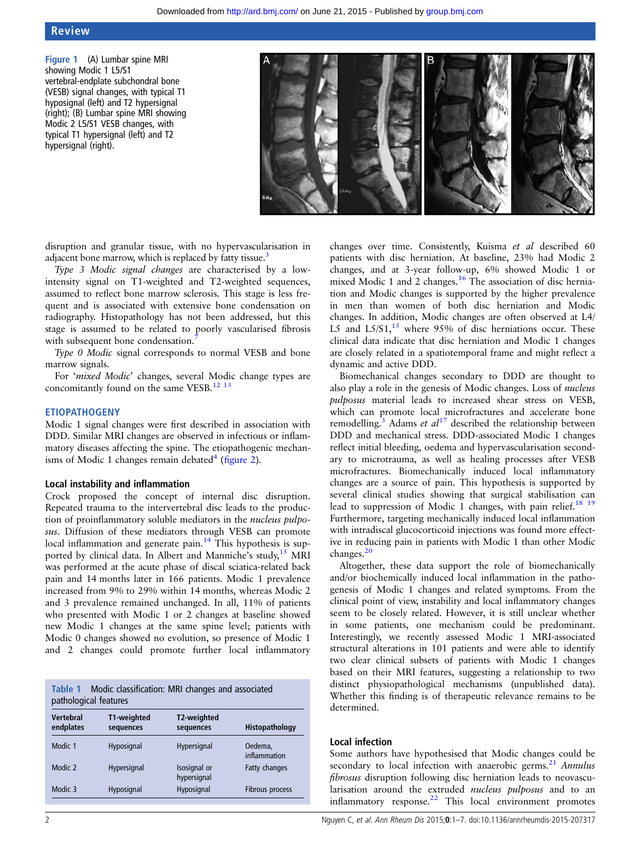## <span id="page-1-0"></span>Review

Figure 1 (A) Lumbar spine MRI showing Modic 1 L5/S1 vertebral-endplate subchondral bone (VESB) signal changes, with typical T1 hyposignal (left) and T2 hypersignal (right); (B) Lumbar spine MRI showing Modic 2 L5/S1 VESB changes, with typical T1 hypersignal (left) and T2 hypersignal (right).



disruption and granular tissue, with no hypervascularisation in adjacent bone marrow, which is replaced by fatty tissue.<sup>[3](#page-5-0)</sup>

Type 3 Modic signal changes are characterised by a lowintensity signal on T1-weighted and T2-weighted sequences, assumed to reflect bone marrow sclerosis. This stage is less frequent and is associated with extensive bone condensation on radiography. Histopathology has not been addressed, but this stage is assumed to be related to poorly vascularised fibrosis with subsequent bone condensation.

Type 0 Modic signal corresponds to normal VESB and bone marrow signals.

For 'mixed Modic' changes, several Modic change types are concomitantly found on the same VESB.<sup>[12 13](#page-5-0)</sup>

#### ETIOPATHOGENY

Modic 1 signal changes were first described in association with DDD. Similar MRI changes are observed in infectious or inflammatory diseases affecting the spine. The etiopathogenic mechanisms of Modic 1 changes remain debated $4$  (fi[gure 2\)](#page-2-0).

#### Local instability and inflammation

Crock proposed the concept of internal disc disruption. Repeated trauma to the intervertebral disc leads to the production of proinflammatory soluble mediators in the nucleus pulposus. Diffusion of these mediators through VESB can promote local inflammation and generate pain.<sup>[14](#page-5-0)</sup> This hypothesis is sup-ported by clinical data. In Albert and Manniche's study,<sup>[15](#page-5-0)</sup> MRI was performed at the acute phase of discal sciatica-related back pain and 14 months later in 166 patients. Modic 1 prevalence increased from 9% to 29% within 14 months, whereas Modic 2 and 3 prevalence remained unchanged. In all, 11% of patients who presented with Modic 1 or 2 changes at baseline showed new Modic 1 changes at the same spine level; patients with Modic 0 changes showed no evolution, so presence of Modic 1 and 2 changes could promote further local inflammatory

| Table 1 Modic classification: MRI changes and associated |
|----------------------------------------------------------|
| pathological features                                    |

| Vertebral<br>endplates | T1-weighted<br>sequences | T2-weighted<br>sequences    | Histopathology          |  |
|------------------------|--------------------------|-----------------------------|-------------------------|--|
| Modic 1                | Hyposignal               | Hypersignal                 | Oedema.<br>inflammation |  |
| Modic 2                | Hypersignal              | Isosignal or<br>hypersignal | Fatty changes           |  |
| Modic 3                | Hyposignal               | Hyposignal                  | Fibrous process         |  |

changes over time. Consistently, Kuisma et al described 60 patients with disc herniation. At baseline, 23% had Modic 2 changes, and at 3-year follow-up, 6% showed Modic 1 or mixed Modic 1 and 2 changes.<sup>[16](#page-5-0)</sup> The association of disc herniation and Modic changes is supported by the higher prevalence in men than women of both disc herniation and Modic changes. In addition, Modic changes are often observed at L4/ L5 and  $L5/S1$ , <sup>[15](#page-5-0)</sup> where 95% of disc herniations occur. These clinical data indicate that disc herniation and Modic 1 changes are closely related in a spatiotemporal frame and might reflect a dynamic and active DDD.

Biomechanical changes secondary to DDD are thought to also play a role in the genesis of Modic changes. Loss of nucleus pulposus material leads to increased shear stress on VESB, which can promote local microfractures and accelerate bone remodelling.<sup>[3](#page-5-0)</sup> Adams et  $al^{17}$  $al^{17}$  $al^{17}$  described the relationship between DDD and mechanical stress. DDD-associated Modic 1 changes reflect initial bleeding, oedema and hypervascularisation secondary to microtrauma, as well as healing processes after VESB microfractures. Biomechanically induced local inflammatory changes are a source of pain. This hypothesis is supported by several clinical studies showing that surgical stabilisation can lead to suppression of Modic 1 changes, with pain relief.<sup>18</sup> <sup>19</sup> Furthermore, targeting mechanically induced local inflammation with intradiscal glucocorticoid injections was found more effective in reducing pain in patients with Modic 1 than other Modic changes.[20](#page-5-0)

Altogether, these data support the role of biomechanically and/or biochemically induced local inflammation in the pathogenesis of Modic 1 changes and related symptoms. From the clinical point of view, instability and local inflammatory changes seem to be closely related. However, it is still unclear whether in some patients, one mechanism could be predominant. Interestingly, we recently assessed Modic 1 MRI-associated structural alterations in 101 patients and were able to identify two clear clinical subsets of patients with Modic 1 changes based on their MRI features, suggesting a relationship to two distinct physiopathological mechanisms (unpublished data). Whether this finding is of therapeutic relevance remains to be determined.

#### Local infection

Some authors have hypothesised that Modic changes could be secondary to local infection with anaerobic germs.<sup>21</sup> Annulus fibrosus disruption following disc herniation leads to neovascularisation around the extruded nucleus pulposus and to an inflammatory response. $22$  This local environment promotes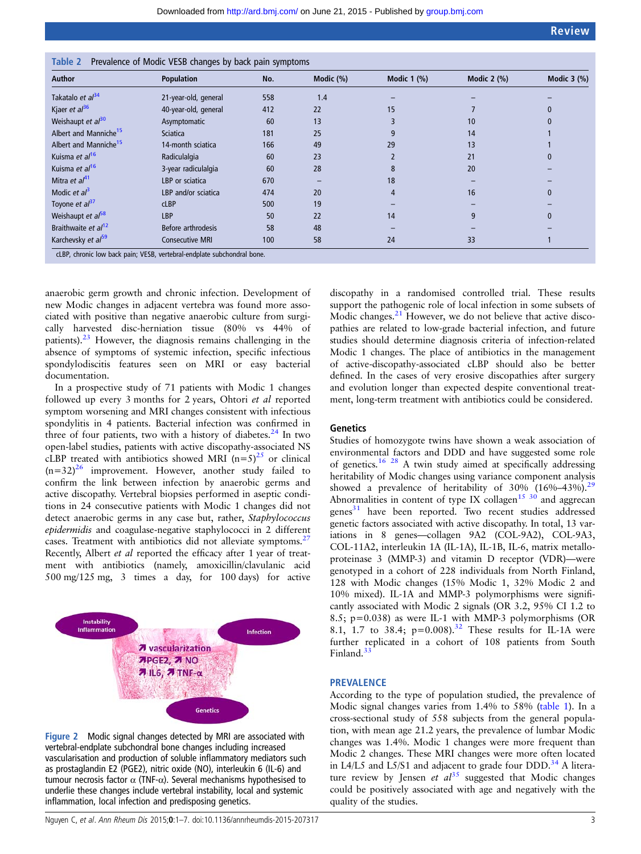| Author                            | <b>Population</b>      | No. | Modic (%) | <b>Modic 1 (%)</b> | Modic $2$ $\frac{9}{6}$ | Modic $3$ (%) |
|-----------------------------------|------------------------|-----|-----------|--------------------|-------------------------|---------------|
| Takatalo et al <sup>34</sup>      | 21-year-old, general   | 558 | 1.4       |                    |                         |               |
| Kjaer et al <sup>36</sup>         | 40-year-old, general   | 412 | 22        | 15                 |                         |               |
| Weishaupt et al <sup>30</sup>     | Asymptomatic           | 60  | 13        |                    | 10                      |               |
| Albert and Manniche <sup>15</sup> | <b>Sciatica</b>        | 181 | 25        | 9                  | 14                      |               |
| Albert and Manniche <sup>15</sup> | 14-month sciatica      | 166 | 49        | 29                 | 13                      |               |
| Kuisma et al <sup>16</sup>        | Radiculalgia           | 60  | 23        |                    | 21                      |               |
| Kuisma et al <sup>16</sup>        | 3-year radiculalgia    | 60  | 28        | 8                  | 20                      |               |
| Mitra et $al41$                   | LBP or sciatica        | 670 |           | 18                 |                         |               |
| Modic et $al^3$                   | LBP and/or sciatica    | 474 | 20        | 4                  | 16                      |               |
| Toyone et al <sup>37</sup>        | <b>cLBP</b>            | 500 | 19        |                    |                         |               |
| Weishaupt et al <sup>58</sup>     | LBP                    | 50  | 22        | 14                 | 9                       |               |
| Braithwaite et al <sup>12</sup>   | Before arthrodesis     | 58  | 48        |                    |                         |               |
| Karchevsky et al <sup>59</sup>    | <b>Consecutive MRI</b> | 100 | 58        | 24                 | 33                      |               |

<span id="page-2-0"></span>

anaerobic germ growth and chronic infection. Development of new Modic changes in adjacent vertebra was found more associated with positive than negative anaerobic culture from surgically harvested disc-herniation tissue (80% vs 44% of patients).[23](#page-5-0) However, the diagnosis remains challenging in the absence of symptoms of systemic infection, specific infectious spondylodiscitis features seen on MRI or easy bacterial documentation.

In a prospective study of 71 patients with Modic 1 changes followed up every 3 months for 2 years, Ohtori et al reported symptom worsening and MRI changes consistent with infectious spondylitis in 4 patients. Bacterial infection was confirmed in three of four patients, two with a history of diabetes. $24$  In two open-label studies, patients with active discopathy-associated NS cLBP treated with antibiotics showed MRI  $(n=5)^{25}$  or clinical  $(n=32)^{26}$  improvement. However, another study failed to confirm the link between infection by anaerobic germs and active discopathy. Vertebral biopsies performed in aseptic conditions in 24 consecutive patients with Modic 1 changes did not detect anaerobic germs in any case but, rather, *Staphylococcus* epidermidis and coagulase-negative staphylococci in 2 different cases. Treatment with antibiotics did not alleviate symptoms.<sup>27</sup> Recently, Albert et al reported the efficacy after 1 year of treatment with antibiotics (namely, amoxicillin/clavulanic acid 500 mg/125 mg, 3 times a day, for 100 days) for active



Figure 2 Modic signal changes detected by MRI are associated with vertebral-endplate subchondral bone changes including increased vascularisation and production of soluble inflammatory mediators such as prostaglandin E2 (PGE2), nitric oxide (NO), interleukin 6 (IL-6) and tumour necrosis factor  $\alpha$  (TNF- $\alpha$ ). Several mechanisms hypothesised to underlie these changes include vertebral instability, local and systemic inflammation, local infection and predisposing genetics.

discopathy in a randomised controlled trial. These results support the pathogenic role of local infection in some subsets of Modic changes.<sup>[21](#page-5-0)</sup> However, we do not believe that active discopathies are related to low-grade bacterial infection, and future studies should determine diagnosis criteria of infection-related Modic 1 changes. The place of antibiotics in the management of active-discopathy-associated cLBP should also be better defined. In the cases of very erosive discopathies after surgery and evolution longer than expected despite conventional treatment, long-term treatment with antibiotics could be considered.

#### **Genetics**

Studies of homozygote twins have shown a weak association of environmental factors and DDD and have suggested some role of genetics.<sup>[16 28](#page-5-0)</sup> A twin study aimed at specifically addressing heritability of Modic changes using variance component analysis showed a prevalence of heritability of  $30\%$  (16%–43%).<sup>[29](#page-5-0)</sup> Abnormalities in content of type IX collagen<sup>15 30</sup> and aggrecan genes<sup>[31](#page-5-0)</sup> have been reported. Two recent studies addressed genetic factors associated with active discopathy. In total, 13 variations in 8 genes—collagen 9A2 (COL-9A2), COL-9A3, COL-11A2, interleukin 1A (IL-1A), IL-1B, IL-6, matrix metalloproteinase 3 (MMP-3) and vitamin D receptor (VDR)—were genotyped in a cohort of 228 individuals from North Finland, 128 with Modic changes (15% Modic 1, 32% Modic 2 and 10% mixed). IL-1A and MMP-3 polymorphisms were significantly associated with Modic 2 signals (OR 3.2, 95% CI 1.2 to 8.5; p=0.038) as were IL-1 with MMP-3 polymorphisms (OR 8.1, 1.7 to 38.4;  $p=0.008$ .<sup>[32](#page-5-0)</sup> These results for IL-1A were further replicated in a cohort of 108 patients from South Finland.<sup>[33](#page-5-0)</sup>

#### **PREVALENCE**

According to the type of population studied, the prevalence of Modic signal changes varies from 1.4% to 58% ([table 1\)](#page-1-0). In a cross-sectional study of 558 subjects from the general population, with mean age 21.2 years, the prevalence of lumbar Modic changes was 1.4%. Modic 1 changes were more frequent than Modic 2 changes. These MRI changes were more often located in L4/L5 and L5/S1 and adjacent to grade four DDD.<sup>[34](#page-5-0)</sup> A literature review by Jensen et  $al^{35}$  $al^{35}$  $al^{35}$  suggested that Modic changes could be positively associated with age and negatively with the quality of the studies.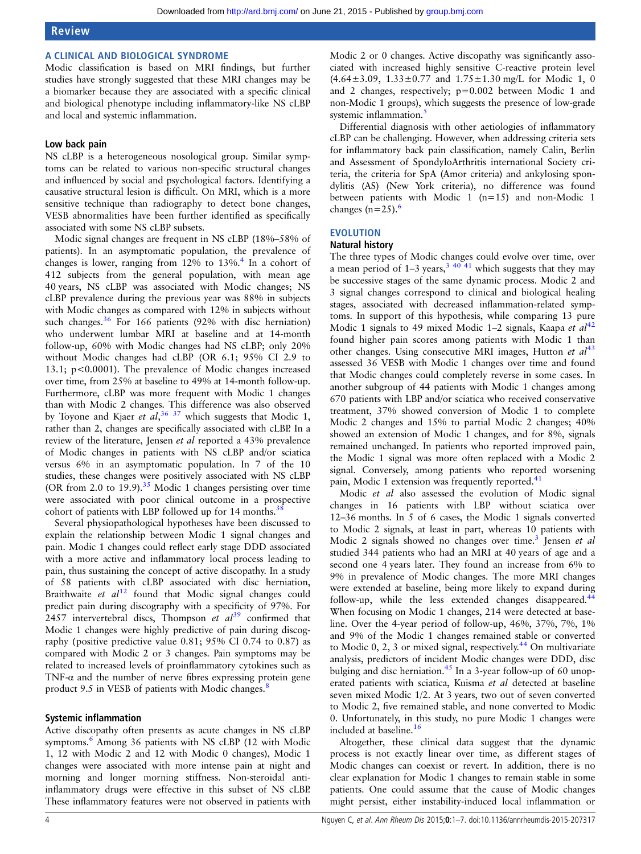#### A CLINICAL AND BIOLOGICAL SYNDROME

Modic classification is based on MRI findings, but further studies have strongly suggested that these MRI changes may be a biomarker because they are associated with a specific clinical and biological phenotype including inflammatory-like NS cLBP and local and systemic inflammation.

#### Low back pain

NS cLBP is a heterogeneous nosological group. Similar symptoms can be related to various non-specific structural changes and influenced by social and psychological factors. Identifying a causative structural lesion is difficult. On MRI, which is a more sensitive technique than radiography to detect bone changes, VESB abnormalities have been further identified as specifically associated with some NS cLBP subsets.

Modic signal changes are frequent in NS cLBP (18%–58% of patients). In an asymptomatic population, the prevalence of changes is lower, ranging from  $12\%$  to  $13\%$ .<sup>4</sup> In a cohort of 412 subjects from the general population, with mean age 40 years, NS cLBP was associated with Modic changes; NS cLBP prevalence during the previous year was 88% in subjects with Modic changes as compared with 12% in subjects without such changes. $36$  For 166 patients (92% with disc herniation) who underwent lumbar MRI at baseline and at 14-month follow-up, 60% with Modic changes had NS cLBP; only 20% without Modic changes had cLBP (OR 6.1; 95% CI 2.9 to 13.1; p<0.0001). The prevalence of Modic changes increased over time, from 25% at baseline to 49% at 14-month follow-up. Furthermore, cLBP was more frequent with Modic 1 changes than with Modic 2 changes. This difference was also observed by Toyone and Kjaer et  $al$ ,<sup>[36 37](#page-5-0)</sup> which suggests that Modic 1, rather than 2, changes are specifically associated with cLBP. In a review of the literature, Jensen et al reported a 43% prevalence of Modic changes in patients with NS cLBP and/or sciatica versus 6% in an asymptomatic population. In 7 of the 10 studies, these changes were positively associated with NS cLBP (OR from 2.0 to 19.9).<sup>[35](#page-5-0)</sup> Modic 1 changes persisting over time were associated with poor clinical outcome in a prospective cohort of patients with LBP followed up for 14 months.<sup>3</sup>

Several physiopathological hypotheses have been discussed to explain the relationship between Modic 1 signal changes and pain. Modic 1 changes could reflect early stage DDD associated with a more active and inflammatory local process leading to pain, thus sustaining the concept of active discopathy. In a study of 58 patients with cLBP associated with disc herniation, Braithwaite et  $al^{12}$  $al^{12}$  $al^{12}$  found that Modic signal changes could predict pain during discography with a specificity of 97%. For 2457 intervertebral discs, Thompson et  $al^{39}$  $al^{39}$  $al^{39}$  confirmed that Modic 1 changes were highly predictive of pain during discography (positive predictive value 0.81; 95% CI 0.74 to 0.87) as compared with Modic 2 or 3 changes. Pain symptoms may be related to increased levels of proinflammatory cytokines such as TNF- $\alpha$  and the number of nerve fibres expressing protein gene product 9.5 in VESB of patients with Modic changes.<sup>[8](#page-5-0)</sup>

#### Systemic inflammation

Active discopathy often presents as acute changes in NS cLBP symptoms.<sup>[6](#page-5-0)</sup> Among 36 patients with NS cLBP (12 with Modic 1, 12 with Modic 2 and 12 with Modic 0 changes), Modic 1 changes were associated with more intense pain at night and morning and longer morning stiffness. Non-steroidal antiinflammatory drugs were effective in this subset of NS cLBP. These inflammatory features were not observed in patients with

Modic 2 or 0 changes. Active discopathy was significantly associated with increased highly sensitive C-reactive protein level  $(4.64 \pm 3.09, 1.33 \pm 0.77, 1.33 \pm 1.30 \text{ mg/L} \text{ for } \text{Mode } 1, 0$ and 2 changes, respectively; p=0.002 between Modic 1 and non-Modic 1 groups), which suggests the presence of low-grade systemic inflammation.<sup>5</sup>

Differential diagnosis with other aetiologies of inflammatory cLBP can be challenging. However, when addressing criteria sets for inflammatory back pain classification, namely Calin, Berlin and Assessment of SpondyloArthritis international Society criteria, the criteria for SpA (Amor criteria) and ankylosing spondylitis (AS) (New York criteria), no difference was found between patients with Modic 1 (n=15) and non-Modic 1 changes  $(n=25)$ .

# EVOLUTION

#### Natural history

The three types of Modic changes could evolve over time, over a mean period of  $1-3$  years,  $3\frac{40-41}{4}$  which suggests that they may be successive stages of the same dynamic process. Modic 2 and 3 signal changes correspond to clinical and biological healing stages, associated with decreased inflammation-related symptoms. In support of this hypothesis, while comparing 13 pure Modic 1 signals to 49 mixed Modic 1–2 signals, Kaapa et  $al^{42}$  $al^{42}$  $al^{42}$ found higher pain scores among patients with Modic 1 than other changes. Using consecutive MRI images, Hutton et  $al^{43}$  $al^{43}$  $al^{43}$ assessed 36 VESB with Modic 1 changes over time and found that Modic changes could completely reverse in some cases. In another subgroup of 44 patients with Modic 1 changes among 670 patients with LBP and/or sciatica who received conservative treatment, 37% showed conversion of Modic 1 to complete Modic 2 changes and 15% to partial Modic 2 changes; 40% showed an extension of Modic 1 changes, and for 8%, signals remained unchanged. In patients who reported improved pain, the Modic 1 signal was more often replaced with a Modic 2 signal. Conversely, among patients who reported worsening pain, Modic 1 extension was frequently reported.<sup>41</sup>

Modic et al also assessed the evolution of Modic signal changes in 16 patients with LBP without sciatica over 12–36 months. In 5 of 6 cases, the Modic 1 signals converted to Modic 2 signals, at least in part, whereas 10 patients with Modic 2 signals showed no changes over time.<sup>3</sup> Jensen et al studied 344 patients who had an MRI at 40 years of age and a second one 4 years later. They found an increase from 6% to 9% in prevalence of Modic changes. The more MRI changes were extended at baseline, being more likely to expand during follow-up, while the less extended changes disappeared.<sup>[44](#page-5-0)</sup> When focusing on Modic 1 changes, 214 were detected at baseline. Over the 4-year period of follow-up, 46%, 37%, 7%, 1% and 9% of the Modic 1 changes remained stable or converted to Modic  $0, 2, 3$  or mixed signal, respectively.<sup>[44](#page-5-0)</sup> On multivariate analysis, predictors of incident Modic changes were DDD, disc bulging and disc herniation.<sup>45</sup> In a 3-year follow-up of 60 unoperated patients with sciatica, Kuisma et al detected at baseline seven mixed Modic 1/2. At 3 years, two out of seven converted to Modic 2, five remained stable, and none converted to Modic 0. Unfortunately, in this study, no pure Modic 1 changes were included at baseline.<sup>[16](#page-5-0)</sup>

Altogether, these clinical data suggest that the dynamic process is not exactly linear over time, as different stages of Modic changes can coexist or revert. In addition, there is no clear explanation for Modic 1 changes to remain stable in some patients. One could assume that the cause of Modic changes might persist, either instability-induced local inflammation or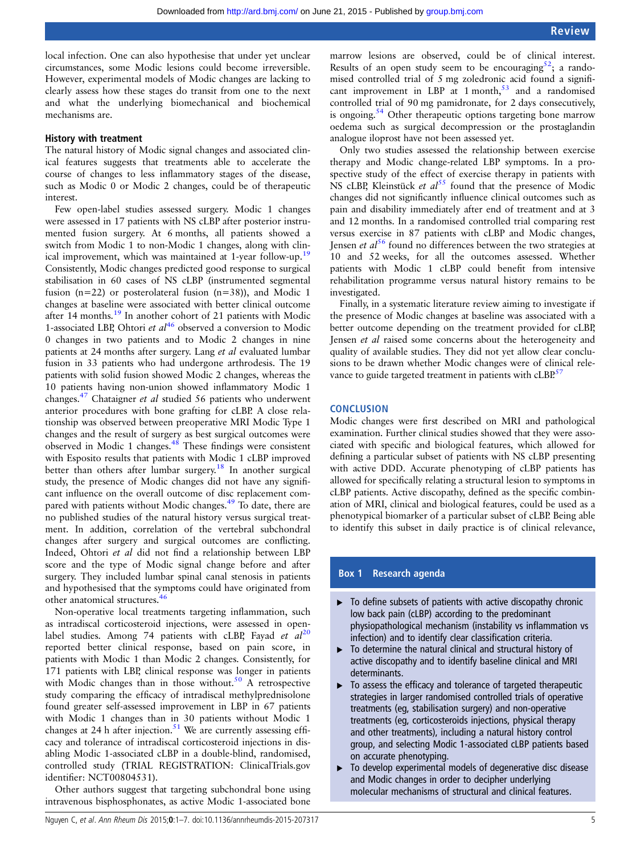<span id="page-4-0"></span>local infection. One can also hypothesise that under yet unclear circumstances, some Modic lesions could become irreversible. However, experimental models of Modic changes are lacking to clearly assess how these stages do transit from one to the next and what the underlying biomechanical and biochemical mechanisms are.

#### History with treatment

The natural history of Modic signal changes and associated clinical features suggests that treatments able to accelerate the course of changes to less inflammatory stages of the disease, such as Modic 0 or Modic 2 changes, could be of therapeutic interest.

Few open-label studies assessed surgery. Modic 1 changes were assessed in 17 patients with NS cLBP after posterior instrumented fusion surgery. At 6 months, all patients showed a switch from Modic 1 to non-Modic 1 changes, along with clinical improvement, which was maintained at 1-year follow-up.<sup>19</sup> Consistently, Modic changes predicted good response to surgical stabilisation in 60 cases of NS cLBP (instrumented segmental fusion (n=22) or posterolateral fusion (n=38)), and Modic 1 changes at baseline were associated with better clinical outcome after 14 months[.19](#page-5-0) In another cohort of 21 patients with Modic 1-associated LBP, Ohtori et  $al^{46}$  $al^{46}$  $al^{46}$  observed a conversion to Modic 0 changes in two patients and to Modic 2 changes in nine patients at 24 months after surgery. Lang et al evaluated lumbar fusion in 33 patients who had undergone arthrodesis. The 19 patients with solid fusion showed Modic 2 changes, whereas the 10 patients having non-union showed inflammatory Modic 1 changes.<sup>47</sup> Chataigner et al studied 56 patients who underwent anterior procedures with bone grafting for cLBP. A close relationship was observed between preoperative MRI Modic Type 1 changes and the result of surgery as best surgical outcomes were observed in Modic 1 changes.[48](#page-6-0) These findings were consistent with Esposito results that patients with Modic 1 cLBP improved better than others after lumbar surgery.<sup>[18](#page-5-0)</sup> In another surgical study, the presence of Modic changes did not have any significant influence on the overall outcome of disc replacement compared with patients without Modic changes[.49](#page-6-0) To date, there are no published studies of the natural history versus surgical treatment. In addition, correlation of the vertebral subchondral changes after surgery and surgical outcomes are conflicting. Indeed, Ohtori et al did not find a relationship between LBP score and the type of Modic signal change before and after surgery. They included lumbar spinal canal stenosis in patients and hypothesised that the symptoms could have originated from other anatomical structures.<sup>[46](#page-6-0)</sup>

Non-operative local treatments targeting inflammation, such as intradiscal corticosteroid injections, were assessed in openlabel studies. Among 74 patients with cLBP, Fayad et  $al^{20}$  $al^{20}$  $al^{20}$ reported better clinical response, based on pain score, in patients with Modic 1 than Modic 2 changes. Consistently, for 171 patients with LBP, clinical response was longer in patients with Modic changes than in those without.<sup>[50](#page-6-0)</sup> A retrospective study comparing the efficacy of intradiscal methylprednisolone found greater self-assessed improvement in LBP in 67 patients with Modic 1 changes than in 30 patients without Modic 1 changes at 24 h after injection.<sup>[51](#page-6-0)</sup> We are currently assessing efficacy and tolerance of intradiscal corticosteroid injections in disabling Modic 1-associated cLBP in a double-blind, randomised, controlled study (TRIAL REGISTRATION: ClinicalTrials.gov identifier: NCT00804531).

Other authors suggest that targeting subchondral bone using intravenous bisphosphonates, as active Modic 1-associated bone

marrow lesions are observed, could be of clinical interest. Results of an open study seem to be encouraging<sup>52</sup>; a randomised controlled trial of 5 mg zoledronic acid found a significant improvement in LBP at 1 month,  $53$  and a randomised controlled trial of 90 mg pamidronate, for 2 days consecutively, is ongoing.<sup>54</sup> Other therapeutic options targeting bone marrow oedema such as surgical decompression or the prostaglandin analogue iloprost have not been assessed yet.

Only two studies assessed the relationship between exercise therapy and Modic change-related LBP symptoms. In a prospective study of the effect of exercise therapy in patients with NS cLBP, Kleinstück et  $a^{55}$  $a^{55}$  $a^{55}$  found that the presence of Modic changes did not significantly influence clinical outcomes such as pain and disability immediately after end of treatment and at 3 and 12 months. In a randomised controlled trial comparing rest versus exercise in 87 patients with cLBP and Modic changes, Jensen *et al*<sup>[56](#page-6-0)</sup> found no differences between the two strategies at 10 and 52 weeks, for all the outcomes assessed. Whether patients with Modic 1 cLBP could benefit from intensive rehabilitation programme versus natural history remains to be investigated.

Finally, in a systematic literature review aiming to investigate if the presence of Modic changes at baseline was associated with a better outcome depending on the treatment provided for cLBP, Jensen et al raised some concerns about the heterogeneity and quality of available studies. They did not yet allow clear conclusions to be drawn whether Modic changes were of clinical rele-vance to guide targeted treatment in patients with cLBP.<sup>[57](#page-6-0)</sup>

#### **CONCLUSION**

Modic changes were first described on MRI and pathological examination. Further clinical studies showed that they were associated with specific and biological features, which allowed for defining a particular subset of patients with NS cLBP presenting with active DDD. Accurate phenotyping of cLBP patients has allowed for specifically relating a structural lesion to symptoms in cLBP patients. Active discopathy, defined as the specific combination of MRI, clinical and biological features, could be used as a phenotypical biomarker of a particular subset of cLBP. Being able to identify this subset in daily practice is of clinical relevance,

#### Box 1 Research agenda

- $\triangleright$  To define subsets of patients with active discopathy chronic low back pain (cLBP) according to the predominant physiopathological mechanism (instability vs inflammation vs infection) and to identify clear classification criteria.
- $\triangleright$  To determine the natural clinical and structural history of active discopathy and to identify baseline clinical and MRI determinants.
- ▸ To assess the efficacy and tolerance of targeted therapeutic strategies in larger randomised controlled trials of operative treatments (eg, stabilisation surgery) and non-operative treatments (eg, corticosteroids injections, physical therapy and other treatments), including a natural history control group, and selecting Modic 1-associated cLBP patients based on accurate phenotyping.
- ▶ To develop experimental models of degenerative disc disease and Modic changes in order to decipher underlying molecular mechanisms of structural and clinical features.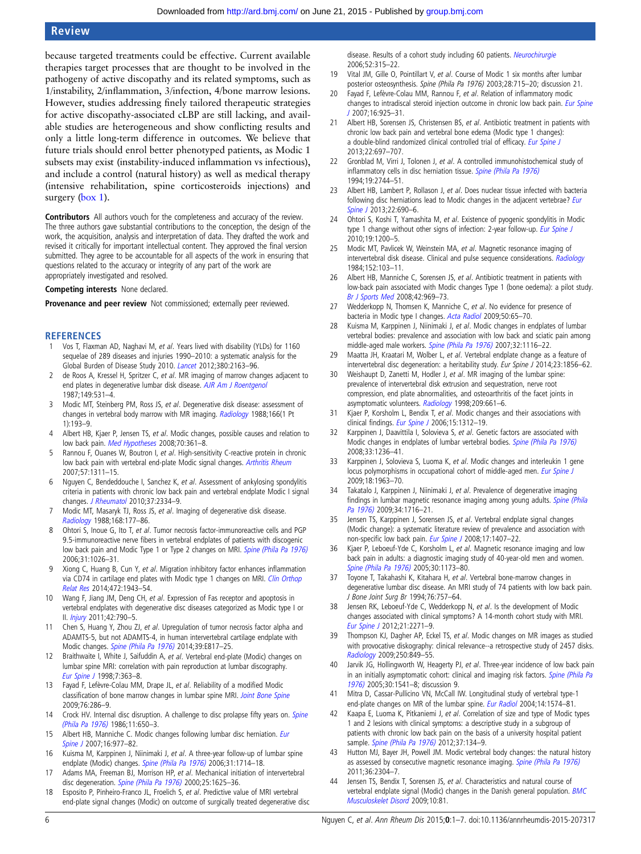# <span id="page-5-0"></span>Review

because targeted treatments could be effective. Current available therapies target processes that are thought to be involved in the pathogeny of active discopathy and its related symptoms, such as 1/instability, 2/inflammation, 3/infection, 4/bone marrow lesions. However, studies addressing finely tailored therapeutic strategies for active discopathy-associated cLBP are still lacking, and available studies are heterogeneous and show conflicting results and only a little long-term difference in outcomes. We believe that future trials should enrol better phenotyped patients, as Modic 1 subsets may exist (instability-induced inflammation vs infectious), and include a control (natural history) as well as medical therapy (intensive rehabilitation, spine corticosteroids injections) and surgery [\(box 1\)](#page-4-0).

Contributors All authors vouch for the completeness and accuracy of the review. The three authors gave substantial contributions to the conception, the design of the work, the acquisition, analysis and interpretation of data. They drafted the work and revised it critically for important intellectual content. They approved the final version submitted. They agree to be accountable for all aspects of the work in ensuring that questions related to the accuracy or integrity of any part of the work are appropriately investigated and resolved.

Competing interests None declared.

Provenance and peer review Not commissioned; externally peer reviewed.

#### **REFERENCES**

- 1 Vos T, Flaxman AD, Naghavi M, et al. Years lived with disability (YLDs) for 1160 sequelae of 289 diseases and injuries 1990–2010: a systematic analysis for the Global Burden of Disease Study 2010. [Lancet](http://dx.doi.org/10.1016/S0140-6736(12)61729-2) 2012;380:2163–96.
- 2 de Roos A, Kressel H, Spritzer C, et al. MR imaging of marrow changes adjacent to end plates in degenerative lumbar disk disease. [AJR Am J Roentgenol](http://dx.doi.org/10.2214/ajr.149.3.531) 1987;149:531–4.
- 3 Modic MT, Steinberg PM, Ross JS, et al. Degenerative disk disease: assessment of changes in vertebral body marrow with MR imaging. [Radiology](http://dx.doi.org/10.1148/radiology.166.1.3336678) 1988;166(1 Pt 1):193–9.
- 4 Albert HB, Kjaer P, Jensen TS, et al. Modic changes, possible causes and relation to low back pain. [Med Hypotheses](http://dx.doi.org/10.1016/j.mehy.2007.05.014) 2008;70:361–8.
- 5 Rannou F, Ouanes W, Boutron I, et al. High-sensitivity C-reactive protein in chronic low back pain with vertebral end-plate Modic signal changes. [Arthritis Rheum](http://dx.doi.org/10.1002/art.22985) 2007;57:1311–15.
- 6 Nguyen C, Bendeddouche I, Sanchez K, et al. Assessment of ankylosing spondylitis criteria in patients with chronic low back pain and vertebral endplate Modic I signal changes. *[J Rheumatol](http://dx.doi.org/10.3899/jrheum.100165)* 2010;37:2334-9.
- 7 Modic MT, Masaryk TJ, Ross JS, et al. Imaging of degenerative disk disease. [Radiology](http://dx.doi.org/10.1148/radiology.168.1.3289089) 1988;168:177–86.
- 8 Ohtori S, Inoue G, Ito T, et al. Tumor necrosis factor-immunoreactive cells and PGP 9.5-immunoreactive nerve fibers in vertebral endplates of patients with discogenic low back pain and Modic Type 1 or Type 2 changes on MRI. [Spine \(Phila Pa 1976\)](http://dx.doi.org/10.1097/01.brs.0000215027.87102.7c) 2006;31:1026–31.
- 9 Xiong C, Huang B, Cun Y, et al. Migration inhibitory factor enhances inflammation via CD74 in cartilage end plates with Modic type 1 changes on MRI. [Clin Orthop](http://dx.doi.org/10.1007/s11999-014-3508-y) [Relat Res](http://dx.doi.org/10.1007/s11999-014-3508-y) 2014;472:1943–54.
- 10 Wang F, Jiang JM, Deng CH, et al. Expression of Fas receptor and apoptosis in vertebral endplates with degenerative disc diseases categorized as Modic type I or II. [Injury](http://dx.doi.org/10.1016/j.injury.2011.01.034) 2011;42:790–5.
- 11 Chen S, Huang Y, Zhou ZJ, et al. Upregulation of tumor necrosis factor alpha and ADAMTS-5, but not ADAMTS-4, in human intervertebral cartilage endplate with Modic changes. [Spine \(Phila Pa 1976\)](http://dx.doi.org/10.1097/BRS.0000000000000362) 2014;39:E817–25.
- 12 Braithwaite I, White J, Saifuddin A, et al. Vertebral end-plate (Modic) changes on lumbar spine MRI: correlation with pain reproduction at lumbar discography. [Eur Spine J](http://dx.doi.org/10.1007/s005860050091) 1998;7:363–8.
- 13 Fayad F, Lefèvre-Colau MM, Drape JL, et al. Reliability of a modified Modic classification of bone marrow changes in lumbar spine MRI. [Joint Bone Spine](http://dx.doi.org/10.1016/j.jbspin.2008.09.012) 2009;76:286–9.
- 14 Crock HV. Internal disc disruption. A challenge to disc prolapse fifty years on. [Spine](http://dx.doi.org/10.1097/00007632-198607000-00028) [\(Phila Pa 1976\)](http://dx.doi.org/10.1097/00007632-198607000-00028) 1986;11:650–3.
- 15 Albert HB, Manniche C. Modic changes following lumbar disc herniation. [Eur](http://dx.doi.org/10.1007/s00586-007-0336-8) [Spine J](http://dx.doi.org/10.1007/s00586-007-0336-8) 2007;16:977–82.
- 16 Kuisma M, Karppinen J, Niinimaki J, et al. A three-year follow-up of lumbar spine endplate (Modic) changes. [Spine \(Phila Pa 1976\)](http://dx.doi.org/10.1097/01.brs.0000224167.18483.14) 2006;31:1714-18.
- 17 Adams MA, Freeman BJ, Morrison HP, et al. Mechanical initiation of intervertebral disc degeneration. [Spine \(Phila Pa 1976\)](http://dx.doi.org/10.1097/00007632-200007010-00005) 2000;25:1625–36.
- 18 Esposito P, Pinheiro-Franco JL, Froelich S, et al. Predictive value of MRI vertebral end-plate signal changes (Modic) on outcome of surgically treated degenerative disc

disease. Results of a cohort study including 60 patients. [Neurochirurgie](http://dx.doi.org/10.1016/S0028-3770(06)71225-5) 2006;52:315–22.

- 19 Vital JM, Gille O, Pointillart V, et al. Course of Modic 1 six months after lumbar posterior osteosynthesis. Spine (Phila Pa 1976) 2003;28:715–20; discussion 21.
- Fayad F, Lefèvre-Colau MM, Rannou F, et al. Relation of inflammatory modic changes to intradiscal steroid injection outcome in chronic low back pain. [Eur Spine](http://dx.doi.org/10.1007/s00586-006-0301-y) [J](http://dx.doi.org/10.1007/s00586-006-0301-y) 2007;16:925–31.
- 21 Albert HB, Sorensen JS, Christensen BS, et al. Antibiotic treatment in patients with chronic low back pain and vertebral bone edema (Modic type 1 changes): a double-blind randomized clinical controlled trial of efficacy. [Eur Spine J](http://dx.doi.org/10.1007/s00586-013-2675-y) 2013;22:697–707.
- 22 Gronblad M, Virri J, Tolonen J, et al. A controlled immunohistochemical study of inflammatory cells in disc herniation tissue. [Spine \(Phila Pa 1976\)](http://dx.doi.org/10.1097/00007632-199412150-00002) 1994;19:2744–51.
- Albert HB, Lambert P, Rollason J, et al. Does nuclear tissue infected with bacteria following disc herniations lead to Modic changes in the adjacent vertebrae? [Eur](http://dx.doi.org/10.1007/s00586-013-2674-z) [Spine J](http://dx.doi.org/10.1007/s00586-013-2674-z) 2013:22:690-6.
- 24 Ohtori S, Koshi T, Yamashita M, et al. Existence of pyogenic spondylitis in Modic type 1 change without other signs of infection: 2-year follow-up. [Eur Spine J](http://dx.doi.org/10.1007/s00586-010-1358-1) 2010;19:1200–5.
- 25 Modic MT, Pavlicek W, Weinstein MA, et al. Magnetic resonance imaging of intervertebral disk disease. Clinical and pulse sequence considerations. [Radiology](http://dx.doi.org/10.1148/radiology.152.1.6729099) 1984;152:103–11.
- 26 Albert HB, Manniche C, Sorensen JS, et al. Antibiotic treatment in patients with low-back pain associated with Modic changes Type 1 (bone oedema): a pilot study. [Br J Sports Med](http://dx.doi.org/10.1136/bjsm.2008.050369) 2008;42:969–73.
- 27 Wedderkopp N, Thomsen K, Manniche C, et al. No evidence for presence of bacteria in Modic type I changes. [Acta Radiol](http://dx.doi.org/10.1080/02841850802524485) 2009;50:65–70.
- 28 Kuisma M, Karppinen J, Niinimaki J, et al. Modic changes in endplates of lumbar vertebral bodies: prevalence and association with low back and sciatic pain among middle-aged male workers. [Spine \(Phila Pa 1976\)](http://dx.doi.org/10.1097/01.brs.0000261561.12944.ff) 2007;32:1116–22.
- 29 Maatta JH, Kraatari M, Wolber L, et al. Vertebral endplate change as a feature of intervertebral disc degeneration: a heritability study. *Eur Spine J* 2014:23:1856–62.
- 30 Weishaupt D, Zanetti M, Hodler J, et al. MR imaging of the lumbar spine: prevalence of intervertebral disk extrusion and sequestration, nerve root compression, end plate abnormalities, and osteoarthritis of the facet joints in asymptomatic volunteers. [Radiology](http://dx.doi.org/10.1148/radiology.209.3.9844656) 1998;209:661-6.
- 31 Kjaer P, Korsholm L, Bendix T, et al. Modic changes and their associations with clinical findings. [Eur Spine J](http://dx.doi.org/10.1007/s00586-006-0185-x) 2006;15:1312-19.
- 32 Karppinen J, Daavittila I, Solovieva S, et al. Genetic factors are associated with Modic changes in endplates of lumbar vertebral bodies. [Spine \(Phila Pa 1976\)](http://dx.doi.org/10.1097/BRS.0b013e318170fd0e) 2008;33:1236–41.
- 33 Karppinen J, Solovieva S, Luoma K, et al. Modic changes and interleukin 1 gene locus polymorphisms in occupational cohort of middle-aged men. [Eur Spine J](http://dx.doi.org/10.1007/s00586-009-1139-x) 2009;18:1963–70.
- 34 Takatalo J, Karppinen J, Niinimaki J, et al. Prevalence of degenerative imaging findings in lumbar magnetic resonance imaging among young adults. [Spine \(Phila](http://dx.doi.org/10.1097/BRS.0b013e3181ac5fec) [Pa 1976\)](http://dx.doi.org/10.1097/BRS.0b013e3181ac5fec) 2009:34:1716-21.
- 35 Jensen TS, Karppinen J, Sorensen JS, et al. Vertebral endplate signal changes (Modic change): a systematic literature review of prevalence and association with non-specific low back pain. Eur [Spine J](http://dx.doi.org/10.1007/s00586-008-0770-2) 2008;17:1407-22.
- 36 Kjaer P, Leboeuf-Yde C, Korsholm L, et al. Magnetic resonance imaging and low back pain in adults: a diagnostic imaging study of 40-year-old men and women. [Spine \(Phila Pa 1976\)](http://dx.doi.org/10.1097/01.brs.0000162396.97739.76) 2005;30:1173-80.
- 37 Toyone T, Takahashi K, Kitahara H, et al. Vertebral bone-marrow changes in degenerative lumbar disc disease. An MRI study of 74 patients with low back pain. J Bone Joint Surg Br 1994;76:757–64.
- 38 Jensen RK, Leboeuf-Yde C, Wedderkopp N, et al. Is the development of Modic changes associated with clinical symptoms? A 14-month cohort study with MRI. [Eur Spine J](http://dx.doi.org/10.1007/s00586-012-2309-9) 2012;21:2271–9.
- 39 Thompson KJ, Dagher AP, Eckel TS, et al. Modic changes on MR images as studied with provocative diskography: clinical relevance--a retrospective study of 2457 disks. [Radiology](http://dx.doi.org/10.1148/radiol.2503080474) 2009;250:849–55.
- 40 Jarvik JG, Hollingworth W, Heagerty PJ, et al. Three-year incidence of low back pain in an initially asymptomatic cohort: clinical and imaging risk factors. [Spine \(Phila Pa](http://dx.doi.org/10.1097/01.brs.0000167536.60002.87) [1976\)](http://dx.doi.org/10.1097/01.brs.0000167536.60002.87) 2005;30:1541–8; discussion 9.
- 41 Mitra D, Cassar-Pullicino VN, McCall IW. Longitudinal study of vertebral type-1 end-plate changes on MR of the lumbar spine. [Eur Radiol](http://dx.doi.org/10.1007/s00330-004-2314-4) 2004;14:1574-81.
- 42 Kaapa E, Luoma K, Pitkaniemi J, et al. Correlation of size and type of Modic types 1 and 2 lesions with clinical symptoms: a descriptive study in a subgroup of patients with chronic low back pain on the basis of a university hospital patient sample. [Spine \(Phila Pa 1976\)](http://dx.doi.org/10.1097/BRS.0b013e3182188a90) 2012;37:134-9.
- 43 Hutton MJ, Bayer JH, Powell JM. Modic vertebral body changes: the natural history as assessed by consecutive magnetic resonance imaging. [Spine \(Phila Pa 1976\)](http://dx.doi.org/10.1097/BRS.0b013e31821604b6) 2011;36:2304–7.
- 44 Jensen TS, Bendix T, Sorensen JS, et al. Characteristics and natural course of vertebral endplate signal (Modic) changes in the Danish general population. **[BMC](http://dx.doi.org/10.1186/1471-2474-10-81)** [Musculoskelet Disord](http://dx.doi.org/10.1186/1471-2474-10-81) 2009;10:81.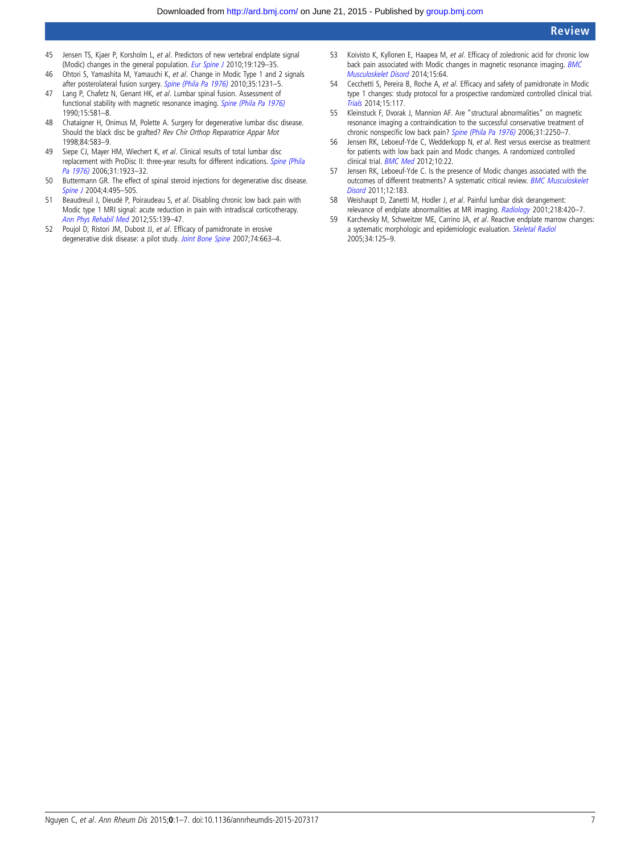- <span id="page-6-0"></span>45 Jensen TS, Kjaer P, Korsholm L, et al. Predictors of new vertebral endplate signal (Modic) changes in the general population. [Eur Spine J](http://dx.doi.org/10.1007/s00586-009-1184-5) 2010;19:129-35.
- 46 Ohtori S, Yamashita M, Yamauchi K, et al. Change in Modic Type 1 and 2 signals after posterolateral fusion surgery. [Spine \(Phila Pa 1976\)](http://dx.doi.org/10.1097/BRS.0b013e3181d254b4) 2010;35:1231-5.
- 47 Lang P, Chafetz N, Genant HK, et al. Lumbar spinal fusion. Assessment of functional stability with magnetic resonance imaging. [Spine \(Phila Pa 1976\)](http://dx.doi.org/10.1097/00007632-199006000-00028) 1990;15:581–8.
- 48 Chataigner H, Onimus M, Polette A. Surgery for degenerative lumbar disc disease. Should the black disc be grafted? Rev Chir Orthop Reparatrice Appar Mot 1998;84:583–9.
- 49 Siepe CJ, Mayer HM, Wiechert K, et al. Clinical results of total lumbar disc replacement with ProDisc II: three-year results for different indications. [Spine \(Phila](http://dx.doi.org/10.1097/01.brs.0000228780.06569.e8) [Pa 1976\)](http://dx.doi.org/10.1097/01.brs.0000228780.06569.e8) 2006;31:1923-32.
- 50 Buttermann GR. The effect of spinal steroid injections for degenerative disc disease. [Spine J](http://dx.doi.org/10.1016/j.spinee.2004.03.024) 2004;4:495-505.
- 51 Beaudreuil J, Dieudé P, Poiraudeau S, et al. Disabling chronic low back pain with Modic type 1 MRI signal: acute reduction in pain with intradiscal corticotherapy. [Ann Phys Rehabil Med](http://dx.doi.org/10.1016/j.rehab.2012.01.004) 2012;55:139–47.
- 52 Poujol D, Ristori JM, Dubost JJ, et al. Efficacy of pamidronate in erosive degenerative disk disease: a pilot study. [Joint Bone Spine](http://dx.doi.org/10.1016/j.jbspin.2007.04.007) 2007;74:663–4.
- 53 Koivisto K, Kyllonen E, Haapea M, et al. Efficacy of zoledronic acid for chronic low back pain associated with Modic changes in magnetic resonance imaging. [BMC](http://dx.doi.org/10.1186/1471-2474-15-64) [Musculoskelet Disord](http://dx.doi.org/10.1186/1471-2474-15-64) 2014;15:64.
- 54 Cecchetti S, Pereira B, Roche A, et al. Efficacy and safety of pamidronate in Modic type 1 changes: study protocol for a prospective randomized controlled clinical trial. [Trials](http://dx.doi.org/10.1186/1745-6215-15-117) 2014;15:117.
- 55 Kleinstuck F, Dvorak J, Mannion AF. Are "structural abnormalities" on magnetic resonance imaging a contraindication to the successful conservative treatment of chronic nonspecific low back pain? [Spine \(Phila Pa 1976\)](http://dx.doi.org/10.1097/01.brs.0000232802.95773.89) 2006;31:2250-7.
- 56 Jensen RK, Leboeuf-Yde C, Wedderkopp N, et al. Rest versus exercise as treatment for patients with low back pain and Modic changes. A randomized controlled clinical trial. **[BMC Med](http://dx.doi.org/10.1186/1741-7015-10-22) 2012**;10:22.
- 57 Jensen RK, Leboeuf-Yde C. Is the presence of Modic changes associated with the outcomes of different treatments? A systematic critical review. [BMC Musculoskelet](http://dx.doi.org/10.1186/1471-2474-12-183) [Disord](http://dx.doi.org/10.1186/1471-2474-12-183) 2011;12:183.
- 58 Weishaupt D, Zanetti M, Hodler J, et al. Painful lumbar disk derangement: relevance of endplate abnormalities at MR imaging. [Radiology](http://dx.doi.org/10.1148/radiology.218.2.r01fe15420) 2001;218:420-7.
- 59 Karchevsky M, Schweitzer ME, Carrino JA, et al. Reactive endplate marrow changes: a systematic morphologic and epidemiologic evaluation. [Skeletal Radiol](http://dx.doi.org/10.1007/s00256-004-0886-3) 2005;34:125–9.